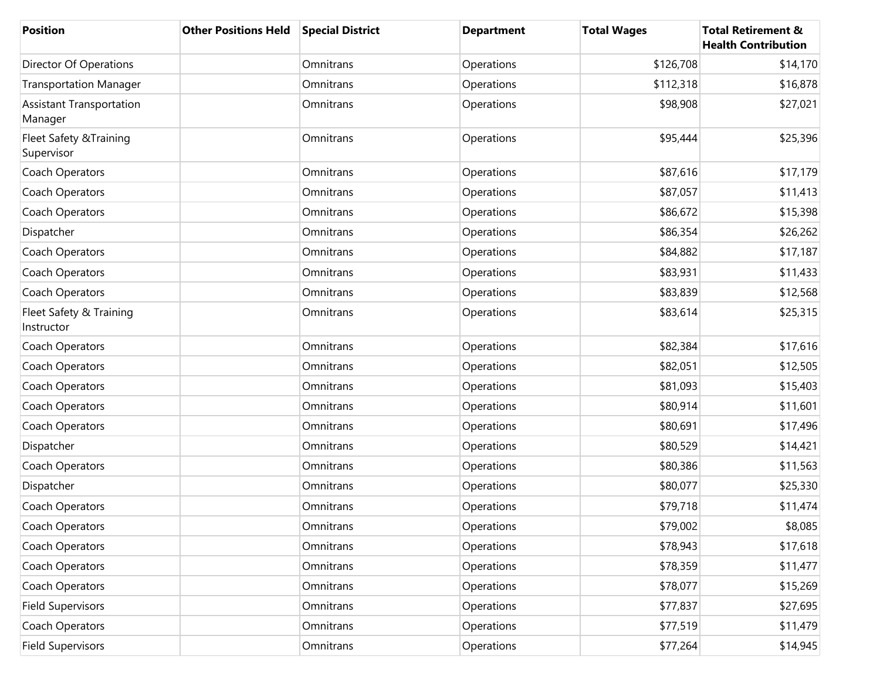| <b>Position</b>                            | <b>Other Positions Held</b> | <b>Special District</b> | <b>Department</b> | <b>Total Wages</b> | <b>Total Retirement &amp;</b><br><b>Health Contribution</b> |
|--------------------------------------------|-----------------------------|-------------------------|-------------------|--------------------|-------------------------------------------------------------|
| Director Of Operations                     |                             | Omnitrans               | Operations        | \$126,708          | \$14,170                                                    |
| <b>Transportation Manager</b>              |                             | Omnitrans               | Operations        | \$112,318          | \$16,878                                                    |
| <b>Assistant Transportation</b><br>Manager |                             | Omnitrans               | Operations        | \$98,908           | \$27,021                                                    |
| Fleet Safety & Training<br>Supervisor      |                             | Omnitrans               | Operations        | \$95,444           | \$25,396                                                    |
| Coach Operators                            |                             | Omnitrans               | Operations        | \$87,616           | \$17,179                                                    |
| Coach Operators                            |                             | Omnitrans               | Operations        | \$87,057           | \$11,413                                                    |
| Coach Operators                            |                             | Omnitrans               | Operations        | \$86,672           | \$15,398                                                    |
| Dispatcher                                 |                             | Omnitrans               | Operations        | \$86,354           | \$26,262                                                    |
| Coach Operators                            |                             | Omnitrans               | Operations        | \$84,882           | \$17,187                                                    |
| Coach Operators                            |                             | Omnitrans               | Operations        | \$83,931           | \$11,433                                                    |
| Coach Operators                            |                             | Omnitrans               | Operations        | \$83,839           | \$12,568                                                    |
| Fleet Safety & Training<br>Instructor      |                             | Omnitrans               | Operations        | \$83,614           | \$25,315                                                    |
| Coach Operators                            |                             | Omnitrans               | Operations        | \$82,384           | \$17,616                                                    |
| Coach Operators                            |                             | Omnitrans               | Operations        | \$82,051           | \$12,505                                                    |
| Coach Operators                            |                             | Omnitrans               | Operations        | \$81,093           | \$15,403                                                    |
| Coach Operators                            |                             | Omnitrans               | Operations        | \$80,914           | \$11,601                                                    |
| Coach Operators                            |                             | Omnitrans               | Operations        | \$80,691           | \$17,496                                                    |
| Dispatcher                                 |                             | Omnitrans               | Operations        | \$80,529           | \$14,421                                                    |
| Coach Operators                            |                             | Omnitrans               | Operations        | \$80,386           | \$11,563                                                    |
| Dispatcher                                 |                             | Omnitrans               | Operations        | \$80,077           | \$25,330                                                    |
| Coach Operators                            |                             | Omnitrans               | Operations        | \$79,718           | \$11,474                                                    |
| Coach Operators                            |                             | Omnitrans               | Operations        | \$79,002           | \$8,085                                                     |
| Coach Operators                            |                             | Omnitrans               | Operations        | \$78,943           | \$17,618                                                    |
| Coach Operators                            |                             | Omnitrans               | Operations        | \$78,359           | \$11,477                                                    |
| Coach Operators                            |                             | Omnitrans               | Operations        | \$78,077           | \$15,269                                                    |
| <b>Field Supervisors</b>                   |                             | Omnitrans               | Operations        | \$77,837           | \$27,695                                                    |
| Coach Operators                            |                             | Omnitrans               | Operations        | \$77,519           | \$11,479                                                    |
| <b>Field Supervisors</b>                   |                             | Omnitrans               | Operations        | \$77,264           | \$14,945                                                    |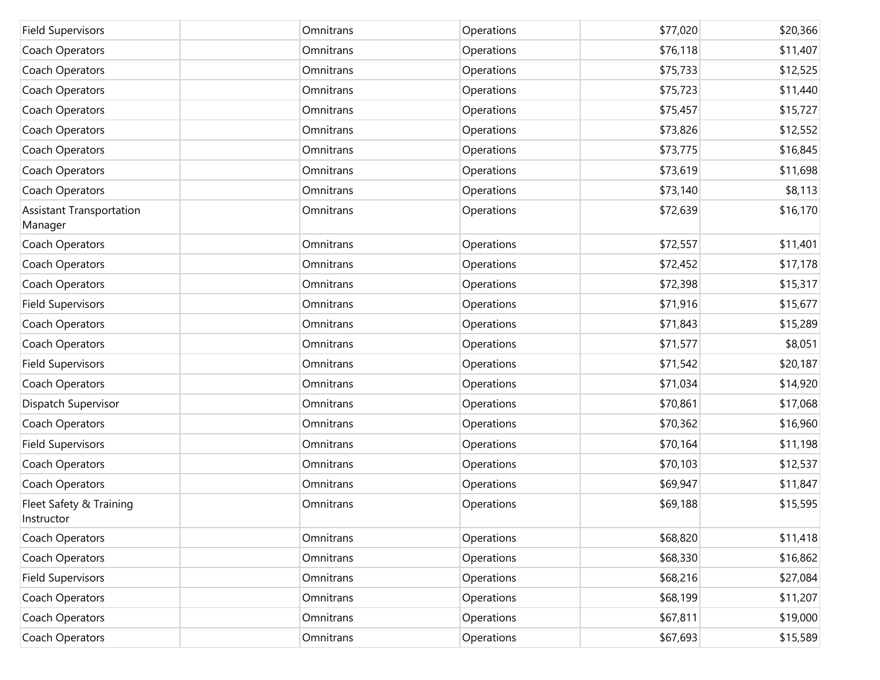| <b>Field Supervisors</b>                   | Omnitrans | Operations | \$77,020 | \$20,366 |
|--------------------------------------------|-----------|------------|----------|----------|
| Coach Operators                            | Omnitrans | Operations | \$76,118 | \$11,407 |
| Coach Operators                            | Omnitrans | Operations | \$75,733 | \$12,525 |
| Coach Operators                            | Omnitrans | Operations | \$75,723 | \$11,440 |
| Coach Operators                            | Omnitrans | Operations | \$75,457 | \$15,727 |
| Coach Operators                            | Omnitrans | Operations | \$73,826 | \$12,552 |
| Coach Operators                            | Omnitrans | Operations | \$73,775 | \$16,845 |
| Coach Operators                            | Omnitrans | Operations | \$73,619 | \$11,698 |
| Coach Operators                            | Omnitrans | Operations | \$73,140 | \$8,113  |
| <b>Assistant Transportation</b><br>Manager | Omnitrans | Operations | \$72,639 | \$16,170 |
| Coach Operators                            | Omnitrans | Operations | \$72,557 | \$11,401 |
| Coach Operators                            | Omnitrans | Operations | \$72,452 | \$17,178 |
| Coach Operators                            | Omnitrans | Operations | \$72,398 | \$15,317 |
| <b>Field Supervisors</b>                   | Omnitrans | Operations | \$71,916 | \$15,677 |
| Coach Operators                            | Omnitrans | Operations | \$71,843 | \$15,289 |
| Coach Operators                            | Omnitrans | Operations | \$71,577 | \$8,051  |
| <b>Field Supervisors</b>                   | Omnitrans | Operations | \$71,542 | \$20,187 |
| Coach Operators                            | Omnitrans | Operations | \$71,034 | \$14,920 |
| Dispatch Supervisor                        | Omnitrans | Operations | \$70,861 | \$17,068 |
| Coach Operators                            | Omnitrans | Operations | \$70,362 | \$16,960 |
| <b>Field Supervisors</b>                   | Omnitrans | Operations | \$70,164 | \$11,198 |
| Coach Operators                            | Omnitrans | Operations | \$70,103 | \$12,537 |
| Coach Operators                            | Omnitrans | Operations | \$69,947 | \$11,847 |
| Fleet Safety & Training<br>Instructor      | Omnitrans | Operations | \$69,188 | \$15,595 |
| Coach Operators                            | Omnitrans | Operations | \$68,820 | \$11,418 |
| Coach Operators                            | Omnitrans | Operations | \$68,330 | \$16,862 |
| <b>Field Supervisors</b>                   | Omnitrans | Operations | \$68,216 | \$27,084 |
| Coach Operators                            | Omnitrans | Operations | \$68,199 | \$11,207 |
| Coach Operators                            | Omnitrans | Operations | \$67,811 | \$19,000 |
| Coach Operators                            | Omnitrans | Operations | \$67,693 | \$15,589 |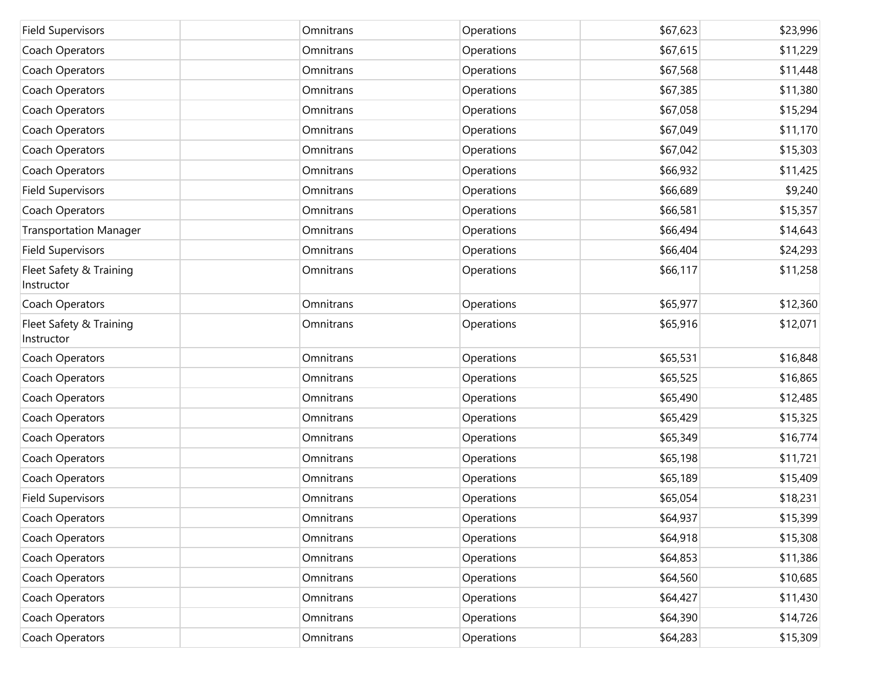| <b>Field Supervisors</b>              | Omnitrans | Operations | \$67,623 | \$23,996 |
|---------------------------------------|-----------|------------|----------|----------|
| Coach Operators                       | Omnitrans | Operations | \$67,615 | \$11,229 |
| Coach Operators                       | Omnitrans | Operations | \$67,568 | \$11,448 |
| Coach Operators                       | Omnitrans | Operations | \$67,385 | \$11,380 |
| Coach Operators                       | Omnitrans | Operations | \$67,058 | \$15,294 |
| Coach Operators                       | Omnitrans | Operations | \$67,049 | \$11,170 |
| Coach Operators                       | Omnitrans | Operations | \$67,042 | \$15,303 |
| Coach Operators                       | Omnitrans | Operations | \$66,932 | \$11,425 |
| <b>Field Supervisors</b>              | Omnitrans | Operations | \$66,689 | \$9,240  |
| Coach Operators                       | Omnitrans | Operations | \$66,581 | \$15,357 |
| <b>Transportation Manager</b>         | Omnitrans | Operations | \$66,494 | \$14,643 |
| <b>Field Supervisors</b>              | Omnitrans | Operations | \$66,404 | \$24,293 |
| Fleet Safety & Training<br>Instructor | Omnitrans | Operations | \$66,117 | \$11,258 |
| Coach Operators                       | Omnitrans | Operations | \$65,977 | \$12,360 |
| Fleet Safety & Training<br>Instructor | Omnitrans | Operations | \$65,916 | \$12,071 |
| Coach Operators                       | Omnitrans | Operations | \$65,531 | \$16,848 |
| Coach Operators                       | Omnitrans | Operations | \$65,525 | \$16,865 |
| Coach Operators                       | Omnitrans | Operations | \$65,490 | \$12,485 |
| Coach Operators                       | Omnitrans | Operations | \$65,429 | \$15,325 |
| Coach Operators                       | Omnitrans | Operations | \$65,349 | \$16,774 |
| Coach Operators                       | Omnitrans | Operations | \$65,198 | \$11,721 |
| Coach Operators                       | Omnitrans | Operations | \$65,189 | \$15,409 |
| <b>Field Supervisors</b>              | Omnitrans | Operations | \$65,054 | \$18,231 |
| Coach Operators                       | Omnitrans | Operations | \$64,937 | \$15,399 |
| Coach Operators                       | Omnitrans | Operations | \$64,918 | \$15,308 |
| Coach Operators                       | Omnitrans | Operations | \$64,853 | \$11,386 |
| Coach Operators                       | Omnitrans | Operations | \$64,560 | \$10,685 |
| Coach Operators                       | Omnitrans | Operations | \$64,427 | \$11,430 |
| Coach Operators                       | Omnitrans | Operations | \$64,390 | \$14,726 |
| Coach Operators                       | Omnitrans | Operations | \$64,283 | \$15,309 |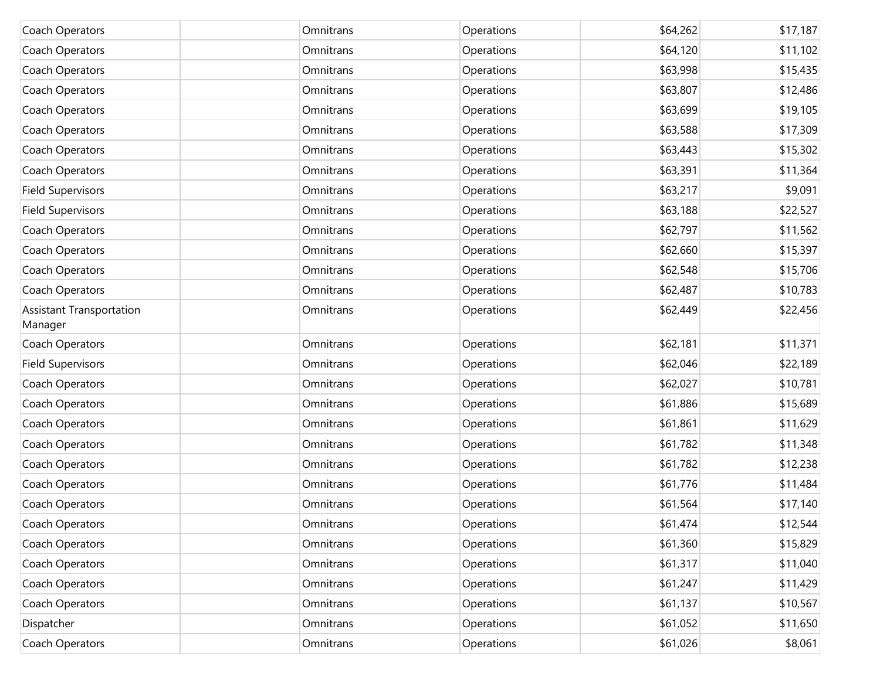| Coach Operators                            | Omnitrans | Operations | \$64,262 | \$17,187 |
|--------------------------------------------|-----------|------------|----------|----------|
| Coach Operators                            | Omnitrans | Operations | \$64,120 | \$11,102 |
| Coach Operators                            | Omnitrans | Operations | \$63,998 | \$15,435 |
| Coach Operators                            | Omnitrans | Operations | \$63,807 | \$12,486 |
| Coach Operators                            | Omnitrans | Operations | \$63,699 | \$19,105 |
| Coach Operators                            | Omnitrans | Operations | \$63,588 | \$17,309 |
| Coach Operators                            | Omnitrans | Operations | \$63,443 | \$15,302 |
| Coach Operators                            | Omnitrans | Operations | \$63,391 | \$11,364 |
| <b>Field Supervisors</b>                   | Omnitrans | Operations | \$63,217 | \$9,091  |
| <b>Field Supervisors</b>                   | Omnitrans | Operations | \$63,188 | \$22,527 |
| Coach Operators                            | Omnitrans | Operations | \$62,797 | \$11,562 |
| Coach Operators                            | Omnitrans | Operations | \$62,660 | \$15,397 |
| Coach Operators                            | Omnitrans | Operations | \$62,548 | \$15,706 |
| Coach Operators                            | Omnitrans | Operations | \$62,487 | \$10,783 |
| <b>Assistant Transportation</b><br>Manager | Omnitrans | Operations | \$62,449 | \$22,456 |
| Coach Operators                            | Omnitrans | Operations | \$62,181 | \$11,371 |
| <b>Field Supervisors</b>                   | Omnitrans | Operations | \$62,046 | \$22,189 |
| Coach Operators                            | Omnitrans | Operations | \$62,027 | \$10,781 |
| Coach Operators                            | Omnitrans | Operations | \$61,886 | \$15,689 |
| Coach Operators                            | Omnitrans | Operations | \$61,861 | \$11,629 |
| Coach Operators                            | Omnitrans | Operations | \$61,782 | \$11,348 |
| Coach Operators                            | Omnitrans | Operations | \$61,782 | \$12,238 |
| Coach Operators                            | Omnitrans | Operations | \$61,776 | \$11,484 |
| Coach Operators                            | Omnitrans | Operations | \$61,564 | \$17,140 |
| Coach Operators                            | Omnitrans | Operations | \$61,474 | \$12,544 |
| Coach Operators                            | Omnitrans | Operations | \$61,360 | \$15,829 |
| Coach Operators                            | Omnitrans | Operations | \$61,317 | \$11,040 |
| Coach Operators                            | Omnitrans | Operations | \$61,247 | \$11,429 |
| Coach Operators                            | Omnitrans | Operations | \$61,137 | \$10,567 |
| Dispatcher                                 | Omnitrans | Operations | \$61,052 | \$11,650 |
| Coach Operators                            | Omnitrans | Operations | \$61,026 | \$8,061  |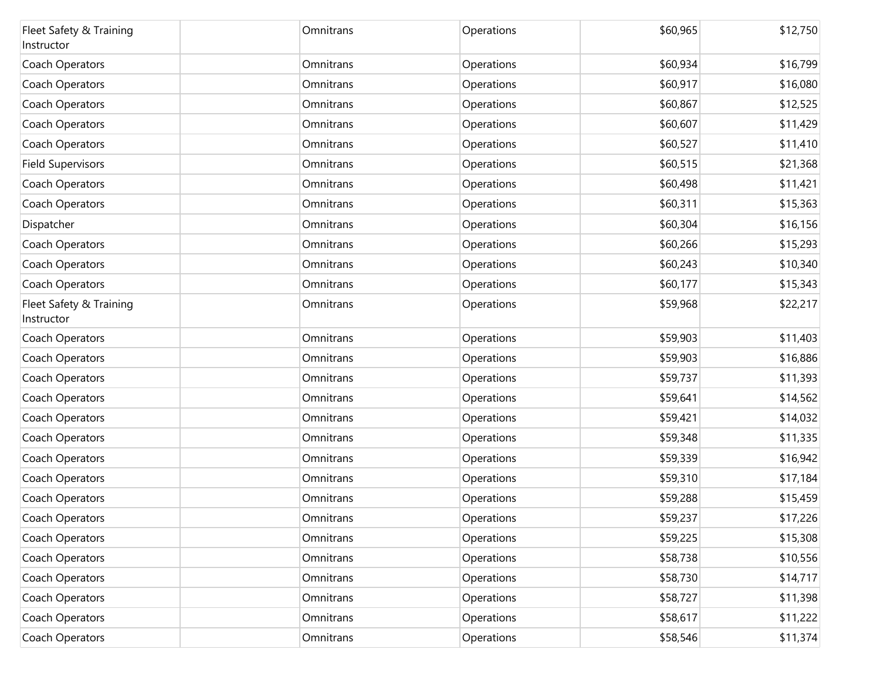| Fleet Safety & Training<br>Instructor | Omnitrans | Operations | \$60,965 | \$12,750 |
|---------------------------------------|-----------|------------|----------|----------|
| Coach Operators                       | Omnitrans | Operations | \$60,934 | \$16,799 |
| Coach Operators                       | Omnitrans | Operations | \$60,917 | \$16,080 |
| Coach Operators                       | Omnitrans | Operations | \$60,867 | \$12,525 |
| Coach Operators                       | Omnitrans | Operations | \$60,607 | \$11,429 |
| Coach Operators                       | Omnitrans | Operations | \$60,527 | \$11,410 |
| <b>Field Supervisors</b>              | Omnitrans | Operations | \$60,515 | \$21,368 |
| Coach Operators                       | Omnitrans | Operations | \$60,498 | \$11,421 |
| Coach Operators                       | Omnitrans | Operations | \$60,311 | \$15,363 |
| Dispatcher                            | Omnitrans | Operations | \$60,304 | \$16,156 |
| Coach Operators                       | Omnitrans | Operations | \$60,266 | \$15,293 |
| Coach Operators                       | Omnitrans | Operations | \$60,243 | \$10,340 |
| Coach Operators                       | Omnitrans | Operations | \$60,177 | \$15,343 |
| Fleet Safety & Training<br>Instructor | Omnitrans | Operations | \$59,968 | \$22,217 |
| Coach Operators                       | Omnitrans | Operations | \$59,903 | \$11,403 |
| Coach Operators                       | Omnitrans | Operations | \$59,903 | \$16,886 |
| Coach Operators                       | Omnitrans | Operations | \$59,737 | \$11,393 |
| Coach Operators                       | Omnitrans | Operations | \$59,641 | \$14,562 |
| Coach Operators                       | Omnitrans | Operations | \$59,421 | \$14,032 |
| Coach Operators                       | Omnitrans | Operations | \$59,348 | \$11,335 |
| Coach Operators                       | Omnitrans | Operations | \$59,339 | \$16,942 |
| Coach Operators                       | Omnitrans | Operations | \$59,310 | \$17,184 |
| Coach Operators                       | Omnitrans | Operations | \$59,288 | \$15,459 |
| Coach Operators                       | Omnitrans | Operations | \$59,237 | \$17,226 |
| Coach Operators                       | Omnitrans | Operations | \$59,225 | \$15,308 |
| Coach Operators                       | Omnitrans | Operations | \$58,738 | \$10,556 |
| Coach Operators                       | Omnitrans | Operations | \$58,730 | \$14,717 |
| Coach Operators                       | Omnitrans | Operations | \$58,727 | \$11,398 |
| Coach Operators                       | Omnitrans | Operations | \$58,617 | \$11,222 |
| Coach Operators                       | Omnitrans | Operations | \$58,546 | \$11,374 |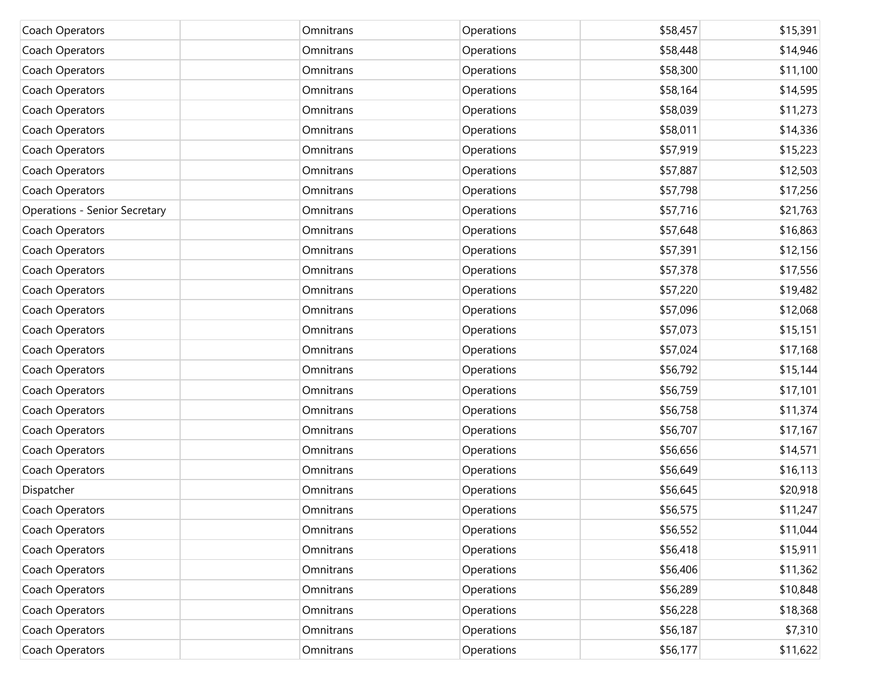| Coach Operators                      | Omnitrans | Operations | \$58,457 | \$15,391 |
|--------------------------------------|-----------|------------|----------|----------|
| Coach Operators                      | Omnitrans | Operations | \$58,448 | \$14,946 |
| Coach Operators                      | Omnitrans | Operations | \$58,300 | \$11,100 |
| Coach Operators                      | Omnitrans | Operations | \$58,164 | \$14,595 |
| Coach Operators                      | Omnitrans | Operations | \$58,039 | \$11,273 |
| Coach Operators                      | Omnitrans | Operations | \$58,011 | \$14,336 |
| Coach Operators                      | Omnitrans | Operations | \$57,919 | \$15,223 |
| Coach Operators                      | Omnitrans | Operations | \$57,887 | \$12,503 |
| Coach Operators                      | Omnitrans | Operations | \$57,798 | \$17,256 |
| <b>Operations - Senior Secretary</b> | Omnitrans | Operations | \$57,716 | \$21,763 |
| Coach Operators                      | Omnitrans | Operations | \$57,648 | \$16,863 |
| Coach Operators                      | Omnitrans | Operations | \$57,391 | \$12,156 |
| Coach Operators                      | Omnitrans | Operations | \$57,378 | \$17,556 |
| Coach Operators                      | Omnitrans | Operations | \$57,220 | \$19,482 |
| Coach Operators                      | Omnitrans | Operations | \$57,096 | \$12,068 |
| Coach Operators                      | Omnitrans | Operations | \$57,073 | \$15,151 |
| Coach Operators                      | Omnitrans | Operations | \$57,024 | \$17,168 |
| Coach Operators                      | Omnitrans | Operations | \$56,792 | \$15,144 |
| Coach Operators                      | Omnitrans | Operations | \$56,759 | \$17,101 |
| Coach Operators                      | Omnitrans | Operations | \$56,758 | \$11,374 |
| Coach Operators                      | Omnitrans | Operations | \$56,707 | \$17,167 |
| Coach Operators                      | Omnitrans | Operations | \$56,656 | \$14,571 |
| Coach Operators                      | Omnitrans | Operations | \$56,649 | \$16,113 |
| Dispatcher                           | Omnitrans | Operations | \$56,645 | \$20,918 |
| Coach Operators                      | Omnitrans | Operations | \$56,575 | \$11,247 |
| Coach Operators                      | Omnitrans | Operations | \$56,552 | \$11,044 |
| Coach Operators                      | Omnitrans | Operations | \$56,418 | \$15,911 |
| Coach Operators                      | Omnitrans | Operations | \$56,406 | \$11,362 |
| Coach Operators                      | Omnitrans | Operations | \$56,289 | \$10,848 |
| Coach Operators                      | Omnitrans | Operations | \$56,228 | \$18,368 |
| Coach Operators                      | Omnitrans | Operations | \$56,187 | \$7,310  |
| Coach Operators                      | Omnitrans | Operations | \$56,177 | \$11,622 |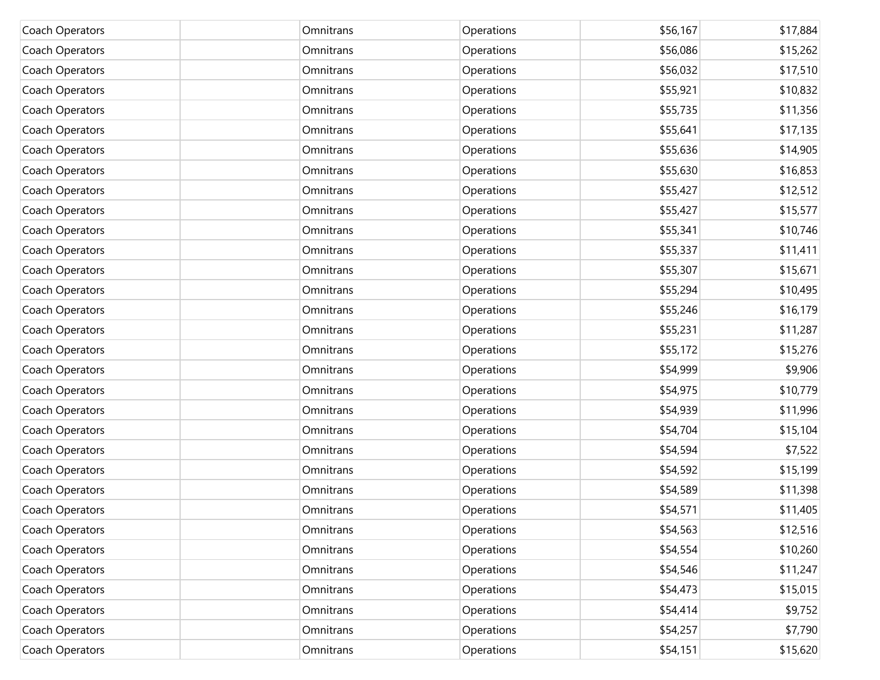| Coach Operators | Omnitrans | Operations | \$56,167 | \$17,884 |
|-----------------|-----------|------------|----------|----------|
| Coach Operators | Omnitrans | Operations | \$56,086 | \$15,262 |
| Coach Operators | Omnitrans | Operations | \$56,032 | \$17,510 |
| Coach Operators | Omnitrans | Operations | \$55,921 | \$10,832 |
| Coach Operators | Omnitrans | Operations | \$55,735 | \$11,356 |
| Coach Operators | Omnitrans | Operations | \$55,641 | \$17,135 |
| Coach Operators | Omnitrans | Operations | \$55,636 | \$14,905 |
| Coach Operators | Omnitrans | Operations | \$55,630 | \$16,853 |
| Coach Operators | Omnitrans | Operations | \$55,427 | \$12,512 |
| Coach Operators | Omnitrans | Operations | \$55,427 | \$15,577 |
| Coach Operators | Omnitrans | Operations | \$55,341 | \$10,746 |
| Coach Operators | Omnitrans | Operations | \$55,337 | \$11,411 |
| Coach Operators | Omnitrans | Operations | \$55,307 | \$15,671 |
| Coach Operators | Omnitrans | Operations | \$55,294 | \$10,495 |
| Coach Operators | Omnitrans | Operations | \$55,246 | \$16,179 |
| Coach Operators | Omnitrans | Operations | \$55,231 | \$11,287 |
| Coach Operators | Omnitrans | Operations | \$55,172 | \$15,276 |
| Coach Operators | Omnitrans | Operations | \$54,999 | \$9,906  |
| Coach Operators | Omnitrans | Operations | \$54,975 | \$10,779 |
| Coach Operators | Omnitrans | Operations | \$54,939 | \$11,996 |
| Coach Operators | Omnitrans | Operations | \$54,704 | \$15,104 |
| Coach Operators | Omnitrans | Operations | \$54,594 | \$7,522  |
| Coach Operators | Omnitrans | Operations | \$54,592 | \$15,199 |
| Coach Operators | Omnitrans | Operations | \$54,589 | \$11,398 |
| Coach Operators | Omnitrans | Operations | \$54,571 | \$11,405 |
| Coach Operators | Omnitrans | Operations | \$54,563 | \$12,516 |
| Coach Operators | Omnitrans | Operations | \$54,554 | \$10,260 |
| Coach Operators | Omnitrans | Operations | \$54,546 | \$11,247 |
| Coach Operators | Omnitrans | Operations | \$54,473 | \$15,015 |
| Coach Operators | Omnitrans | Operations | \$54,414 | \$9,752  |
| Coach Operators | Omnitrans | Operations | \$54,257 | \$7,790  |
| Coach Operators | Omnitrans | Operations | \$54,151 | \$15,620 |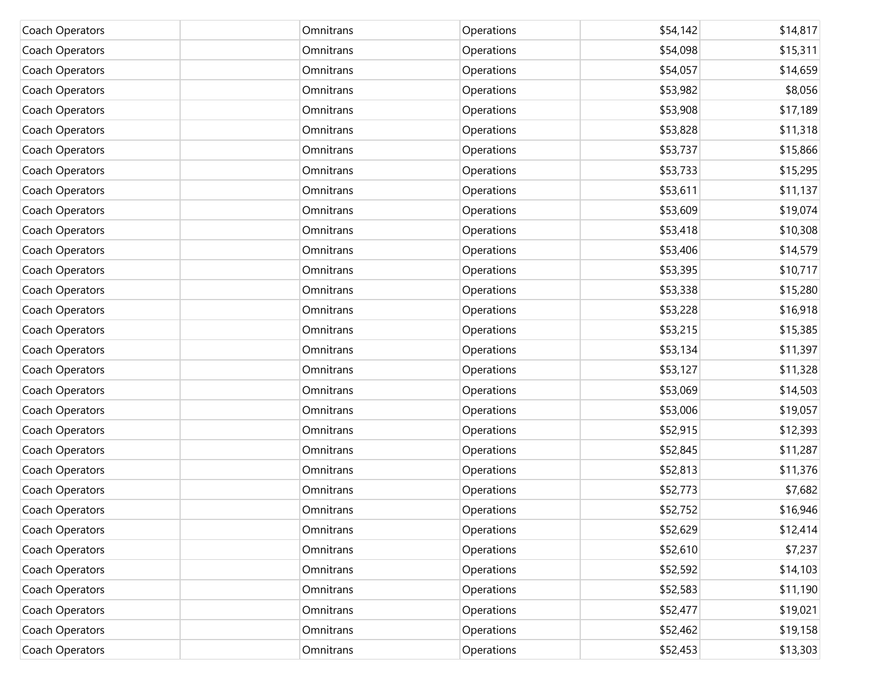| Coach Operators | Omnitrans | Operations | \$54,142 | \$14,817 |
|-----------------|-----------|------------|----------|----------|
| Coach Operators | Omnitrans | Operations | \$54,098 | \$15,311 |
| Coach Operators | Omnitrans | Operations | \$54,057 | \$14,659 |
| Coach Operators | Omnitrans | Operations | \$53,982 | \$8,056  |
| Coach Operators | Omnitrans | Operations | \$53,908 | \$17,189 |
| Coach Operators | Omnitrans | Operations | \$53,828 | \$11,318 |
| Coach Operators | Omnitrans | Operations | \$53,737 | \$15,866 |
| Coach Operators | Omnitrans | Operations | \$53,733 | \$15,295 |
| Coach Operators | Omnitrans | Operations | \$53,611 | \$11,137 |
| Coach Operators | Omnitrans | Operations | \$53,609 | \$19,074 |
| Coach Operators | Omnitrans | Operations | \$53,418 | \$10,308 |
| Coach Operators | Omnitrans | Operations | \$53,406 | \$14,579 |
| Coach Operators | Omnitrans | Operations | \$53,395 | \$10,717 |
| Coach Operators | Omnitrans | Operations | \$53,338 | \$15,280 |
| Coach Operators | Omnitrans | Operations | \$53,228 | \$16,918 |
| Coach Operators | Omnitrans | Operations | \$53,215 | \$15,385 |
| Coach Operators | Omnitrans | Operations | \$53,134 | \$11,397 |
| Coach Operators | Omnitrans | Operations | \$53,127 | \$11,328 |
| Coach Operators | Omnitrans | Operations | \$53,069 | \$14,503 |
| Coach Operators | Omnitrans | Operations | \$53,006 | \$19,057 |
| Coach Operators | Omnitrans | Operations | \$52,915 | \$12,393 |
| Coach Operators | Omnitrans | Operations | \$52,845 | \$11,287 |
| Coach Operators | Omnitrans | Operations | \$52,813 | \$11,376 |
| Coach Operators | Omnitrans | Operations | \$52,773 | \$7,682  |
| Coach Operators | Omnitrans | Operations | \$52,752 | \$16,946 |
| Coach Operators | Omnitrans | Operations | \$52,629 | \$12,414 |
| Coach Operators | Omnitrans | Operations | \$52,610 | \$7,237  |
| Coach Operators | Omnitrans | Operations | \$52,592 | \$14,103 |
| Coach Operators | Omnitrans | Operations | \$52,583 | \$11,190 |
| Coach Operators | Omnitrans | Operations | \$52,477 | \$19,021 |
| Coach Operators | Omnitrans | Operations | \$52,462 | \$19,158 |
| Coach Operators | Omnitrans | Operations | \$52,453 | \$13,303 |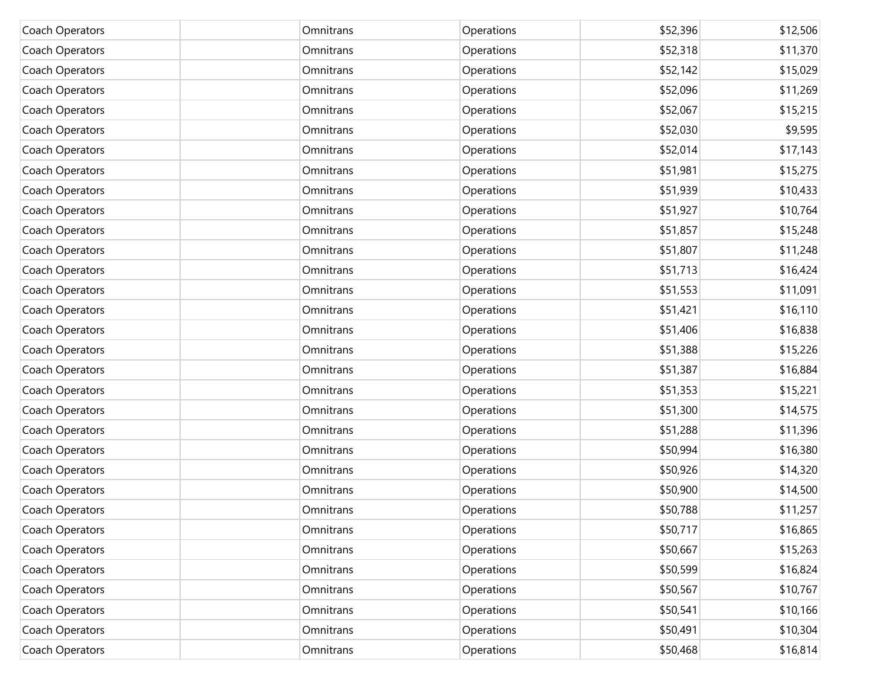| Coach Operators | Omnitrans | Operations | \$52,396 | \$12,506 |
|-----------------|-----------|------------|----------|----------|
| Coach Operators | Omnitrans | Operations | \$52,318 | \$11,370 |
| Coach Operators | Omnitrans | Operations | \$52,142 | \$15,029 |
| Coach Operators | Omnitrans | Operations | \$52,096 | \$11,269 |
| Coach Operators | Omnitrans | Operations | \$52,067 | \$15,215 |
| Coach Operators | Omnitrans | Operations | \$52,030 | \$9,595  |
| Coach Operators | Omnitrans | Operations | \$52,014 | \$17,143 |
| Coach Operators | Omnitrans | Operations | \$51,981 | \$15,275 |
| Coach Operators | Omnitrans | Operations | \$51,939 | \$10,433 |
| Coach Operators | Omnitrans | Operations | \$51,927 | \$10,764 |
| Coach Operators | Omnitrans | Operations | \$51,857 | \$15,248 |
| Coach Operators | Omnitrans | Operations | \$51,807 | \$11,248 |
| Coach Operators | Omnitrans | Operations | \$51,713 | \$16,424 |
| Coach Operators | Omnitrans | Operations | \$51,553 | \$11,091 |
| Coach Operators | Omnitrans | Operations | \$51,421 | \$16,110 |
| Coach Operators | Omnitrans | Operations | \$51,406 | \$16,838 |
| Coach Operators | Omnitrans | Operations | \$51,388 | \$15,226 |
| Coach Operators | Omnitrans | Operations | \$51,387 | \$16,884 |
| Coach Operators | Omnitrans | Operations | \$51,353 | \$15,221 |
| Coach Operators | Omnitrans | Operations | \$51,300 | \$14,575 |
| Coach Operators | Omnitrans | Operations | \$51,288 | \$11,396 |
| Coach Operators | Omnitrans | Operations | \$50,994 | \$16,380 |
| Coach Operators | Omnitrans | Operations | \$50,926 | \$14,320 |
| Coach Operators | Omnitrans | Operations | \$50,900 | \$14,500 |
| Coach Operators | Omnitrans | Operations | \$50,788 | \$11,257 |
| Coach Operators | Omnitrans | Operations | \$50,717 | \$16,865 |
| Coach Operators | Omnitrans | Operations | \$50,667 | \$15,263 |
| Coach Operators | Omnitrans | Operations | \$50,599 | \$16,824 |
| Coach Operators | Omnitrans | Operations | \$50,567 | \$10,767 |
| Coach Operators | Omnitrans | Operations | \$50,541 | \$10,166 |
| Coach Operators | Omnitrans | Operations | \$50,491 | \$10,304 |
| Coach Operators | Omnitrans | Operations | \$50,468 | \$16,814 |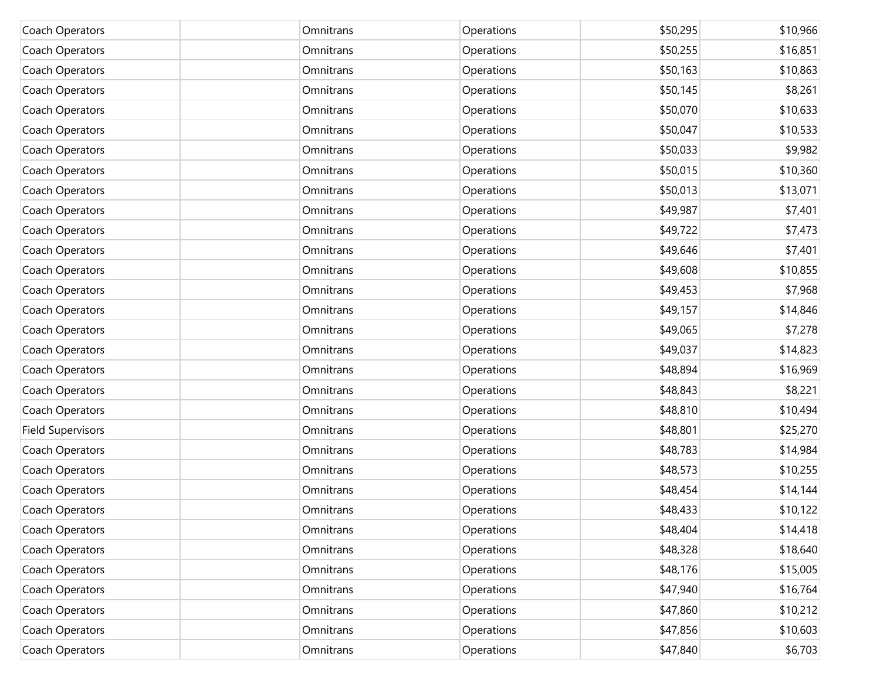| Coach Operators          | Omnitrans | Operations | \$50,295 | \$10,966 |
|--------------------------|-----------|------------|----------|----------|
| Coach Operators          | Omnitrans | Operations | \$50,255 | \$16,851 |
| Coach Operators          | Omnitrans | Operations | \$50,163 | \$10,863 |
| Coach Operators          | Omnitrans | Operations | \$50,145 | \$8,261  |
| Coach Operators          | Omnitrans | Operations | \$50,070 | \$10,633 |
| Coach Operators          | Omnitrans | Operations | \$50,047 | \$10,533 |
| Coach Operators          | Omnitrans | Operations | \$50,033 | \$9,982  |
| Coach Operators          | Omnitrans | Operations | \$50,015 | \$10,360 |
| Coach Operators          | Omnitrans | Operations | \$50,013 | \$13,071 |
| Coach Operators          | Omnitrans | Operations | \$49,987 | \$7,401  |
| Coach Operators          | Omnitrans | Operations | \$49,722 | \$7,473  |
| Coach Operators          | Omnitrans | Operations | \$49,646 | \$7,401  |
| Coach Operators          | Omnitrans | Operations | \$49,608 | \$10,855 |
| Coach Operators          | Omnitrans | Operations | \$49,453 | \$7,968  |
| Coach Operators          | Omnitrans | Operations | \$49,157 | \$14,846 |
| Coach Operators          | Omnitrans | Operations | \$49,065 | \$7,278  |
| Coach Operators          | Omnitrans | Operations | \$49,037 | \$14,823 |
| Coach Operators          | Omnitrans | Operations | \$48,894 | \$16,969 |
| Coach Operators          | Omnitrans | Operations | \$48,843 | \$8,221  |
| Coach Operators          | Omnitrans | Operations | \$48,810 | \$10,494 |
| <b>Field Supervisors</b> | Omnitrans | Operations | \$48,801 | \$25,270 |
| Coach Operators          | Omnitrans | Operations | \$48,783 | \$14,984 |
| Coach Operators          | Omnitrans | Operations | \$48,573 | \$10,255 |
| Coach Operators          | Omnitrans | Operations | \$48,454 | \$14,144 |
| Coach Operators          | Omnitrans | Operations | \$48,433 | \$10,122 |
| Coach Operators          | Omnitrans | Operations | \$48,404 | \$14,418 |
| Coach Operators          | Omnitrans | Operations | \$48,328 | \$18,640 |
| Coach Operators          | Omnitrans | Operations | \$48,176 | \$15,005 |
| Coach Operators          | Omnitrans | Operations | \$47,940 | \$16,764 |
| Coach Operators          | Omnitrans | Operations | \$47,860 | \$10,212 |
| Coach Operators          | Omnitrans | Operations | \$47,856 | \$10,603 |
| Coach Operators          | Omnitrans | Operations | \$47,840 | \$6,703  |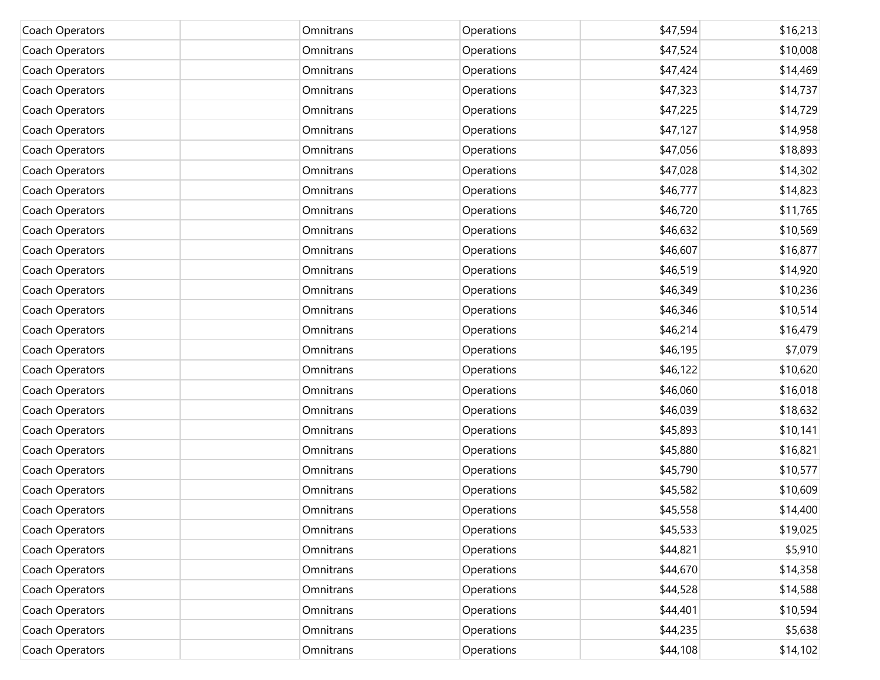| Coach Operators | Omnitrans | Operations | \$47,594 | \$16,213 |
|-----------------|-----------|------------|----------|----------|
| Coach Operators | Omnitrans | Operations | \$47,524 | \$10,008 |
| Coach Operators | Omnitrans | Operations | \$47,424 | \$14,469 |
| Coach Operators | Omnitrans | Operations | \$47,323 | \$14,737 |
| Coach Operators | Omnitrans | Operations | \$47,225 | \$14,729 |
| Coach Operators | Omnitrans | Operations | \$47,127 | \$14,958 |
| Coach Operators | Omnitrans | Operations | \$47,056 | \$18,893 |
| Coach Operators | Omnitrans | Operations | \$47,028 | \$14,302 |
| Coach Operators | Omnitrans | Operations | \$46,777 | \$14,823 |
| Coach Operators | Omnitrans | Operations | \$46,720 | \$11,765 |
| Coach Operators | Omnitrans | Operations | \$46,632 | \$10,569 |
| Coach Operators | Omnitrans | Operations | \$46,607 | \$16,877 |
| Coach Operators | Omnitrans | Operations | \$46,519 | \$14,920 |
| Coach Operators | Omnitrans | Operations | \$46,349 | \$10,236 |
| Coach Operators | Omnitrans | Operations | \$46,346 | \$10,514 |
| Coach Operators | Omnitrans | Operations | \$46,214 | \$16,479 |
| Coach Operators | Omnitrans | Operations | \$46,195 | \$7,079  |
| Coach Operators | Omnitrans | Operations | \$46,122 | \$10,620 |
| Coach Operators | Omnitrans | Operations | \$46,060 | \$16,018 |
| Coach Operators | Omnitrans | Operations | \$46,039 | \$18,632 |
| Coach Operators | Omnitrans | Operations | \$45,893 | \$10,141 |
| Coach Operators | Omnitrans | Operations | \$45,880 | \$16,821 |
| Coach Operators | Omnitrans | Operations | \$45,790 | \$10,577 |
| Coach Operators | Omnitrans | Operations | \$45,582 | \$10,609 |
| Coach Operators | Omnitrans | Operations | \$45,558 | \$14,400 |
| Coach Operators | Omnitrans | Operations | \$45,533 | \$19,025 |
| Coach Operators | Omnitrans | Operations | \$44,821 | \$5,910  |
| Coach Operators | Omnitrans | Operations | \$44,670 | \$14,358 |
| Coach Operators | Omnitrans | Operations | \$44,528 | \$14,588 |
| Coach Operators | Omnitrans | Operations | \$44,401 | \$10,594 |
| Coach Operators | Omnitrans | Operations | \$44,235 | \$5,638  |
| Coach Operators | Omnitrans | Operations | \$44,108 | \$14,102 |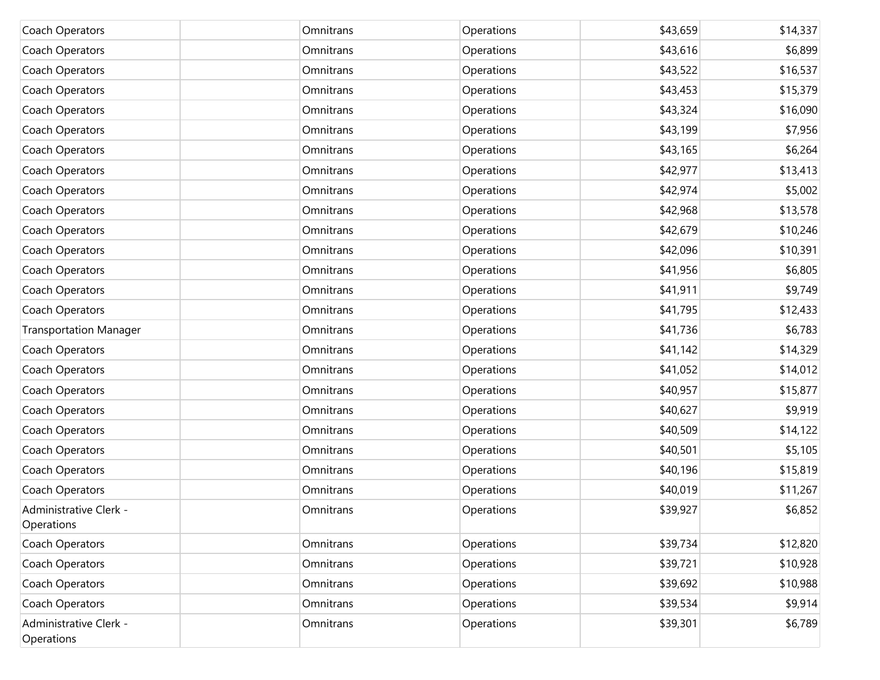| Coach Operators                      | Omnitrans | Operations | \$43,659 | \$14,337 |
|--------------------------------------|-----------|------------|----------|----------|
| Coach Operators                      | Omnitrans | Operations | \$43,616 | \$6,899  |
| Coach Operators                      | Omnitrans | Operations | \$43,522 | \$16,537 |
| Coach Operators                      | Omnitrans | Operations | \$43,453 | \$15,379 |
| Coach Operators                      | Omnitrans | Operations | \$43,324 | \$16,090 |
| Coach Operators                      | Omnitrans | Operations | \$43,199 | \$7,956  |
| Coach Operators                      | Omnitrans | Operations | \$43,165 | \$6,264  |
| Coach Operators                      | Omnitrans | Operations | \$42,977 | \$13,413 |
| Coach Operators                      | Omnitrans | Operations | \$42,974 | \$5,002  |
| Coach Operators                      | Omnitrans | Operations | \$42,968 | \$13,578 |
| Coach Operators                      | Omnitrans | Operations | \$42,679 | \$10,246 |
| Coach Operators                      | Omnitrans | Operations | \$42,096 | \$10,391 |
| Coach Operators                      | Omnitrans | Operations | \$41,956 | \$6,805  |
| Coach Operators                      | Omnitrans | Operations | \$41,911 | \$9,749  |
| Coach Operators                      | Omnitrans | Operations | \$41,795 | \$12,433 |
| <b>Transportation Manager</b>        | Omnitrans | Operations | \$41,736 | \$6,783  |
| Coach Operators                      | Omnitrans | Operations | \$41,142 | \$14,329 |
| Coach Operators                      | Omnitrans | Operations | \$41,052 | \$14,012 |
| Coach Operators                      | Omnitrans | Operations | \$40,957 | \$15,877 |
| Coach Operators                      | Omnitrans | Operations | \$40,627 | \$9,919  |
| Coach Operators                      | Omnitrans | Operations | \$40,509 | \$14,122 |
| Coach Operators                      | Omnitrans | Operations | \$40,501 | \$5,105  |
| Coach Operators                      | Omnitrans | Operations | \$40,196 | \$15,819 |
| Coach Operators                      | Omnitrans | Operations | \$40,019 | \$11,267 |
| Administrative Clerk -<br>Operations | Omnitrans | Operations | \$39,927 | \$6,852  |
| Coach Operators                      | Omnitrans | Operations | \$39,734 | \$12,820 |
| Coach Operators                      | Omnitrans | Operations | \$39,721 | \$10,928 |
| Coach Operators                      | Omnitrans | Operations | \$39,692 | \$10,988 |
| Coach Operators                      | Omnitrans | Operations | \$39,534 | \$9,914  |
| Administrative Clerk -<br>Operations | Omnitrans | Operations | \$39,301 | \$6,789  |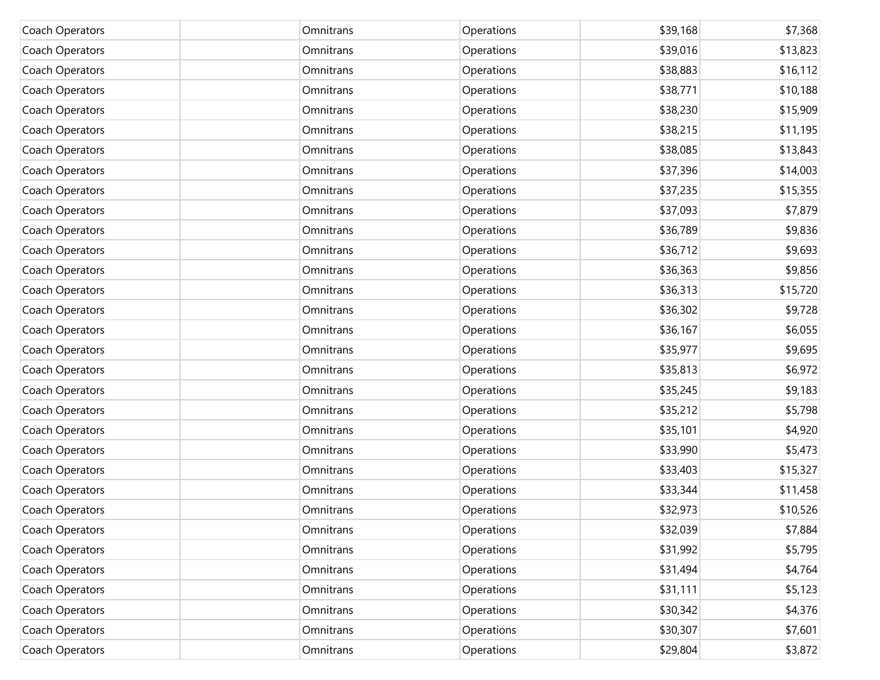| Coach Operators | Omnitrans | Operations | \$39,168 | \$7,368  |
|-----------------|-----------|------------|----------|----------|
| Coach Operators | Omnitrans | Operations | \$39,016 | \$13,823 |
| Coach Operators | Omnitrans | Operations | \$38,883 | \$16,112 |
| Coach Operators | Omnitrans | Operations | \$38,771 | \$10,188 |
| Coach Operators | Omnitrans | Operations | \$38,230 | \$15,909 |
| Coach Operators | Omnitrans | Operations | \$38,215 | \$11,195 |
| Coach Operators | Omnitrans | Operations | \$38,085 | \$13,843 |
| Coach Operators | Omnitrans | Operations | \$37,396 | \$14,003 |
| Coach Operators | Omnitrans | Operations | \$37,235 | \$15,355 |
| Coach Operators | Omnitrans | Operations | \$37,093 | \$7,879  |
| Coach Operators | Omnitrans | Operations | \$36,789 | \$9,836  |
| Coach Operators | Omnitrans | Operations | \$36,712 | \$9,693  |
| Coach Operators | Omnitrans | Operations | \$36,363 | \$9,856  |
| Coach Operators | Omnitrans | Operations | \$36,313 | \$15,720 |
| Coach Operators | Omnitrans | Operations | \$36,302 | \$9,728  |
| Coach Operators | Omnitrans | Operations | \$36,167 | \$6,055  |
| Coach Operators | Omnitrans | Operations | \$35,977 | \$9,695  |
| Coach Operators | Omnitrans | Operations | \$35,813 | \$6,972  |
| Coach Operators | Omnitrans | Operations | \$35,245 | \$9,183  |
| Coach Operators | Omnitrans | Operations | \$35,212 | \$5,798  |
| Coach Operators | Omnitrans | Operations | \$35,101 | \$4,920  |
| Coach Operators | Omnitrans | Operations | \$33,990 | \$5,473  |
| Coach Operators | Omnitrans | Operations | \$33,403 | \$15,327 |
| Coach Operators | Omnitrans | Operations | \$33,344 | \$11,458 |
| Coach Operators | Omnitrans | Operations | \$32,973 | \$10,526 |
| Coach Operators | Omnitrans | Operations | \$32,039 | \$7,884  |
| Coach Operators | Omnitrans | Operations | \$31,992 | \$5,795  |
| Coach Operators | Omnitrans | Operations | \$31,494 | \$4,764  |
| Coach Operators | Omnitrans | Operations | \$31,111 | \$5,123  |
| Coach Operators | Omnitrans | Operations | \$30,342 | \$4,376  |
| Coach Operators | Omnitrans | Operations | \$30,307 | \$7,601  |
| Coach Operators | Omnitrans | Operations | \$29,804 | \$3,872  |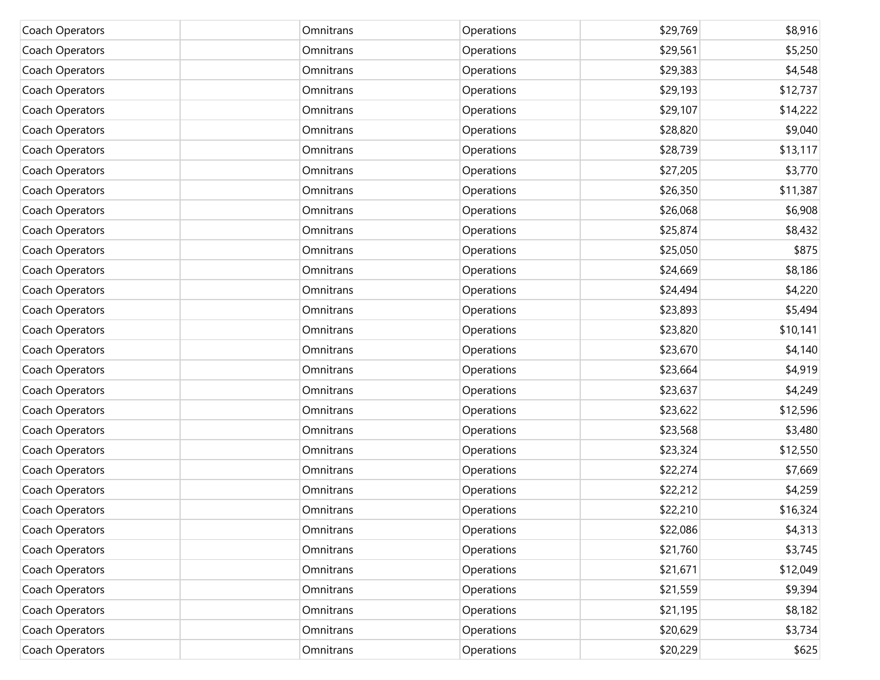| Coach Operators | Omnitrans | Operations | \$29,769 | \$8,916  |
|-----------------|-----------|------------|----------|----------|
| Coach Operators | Omnitrans | Operations | \$29,561 | \$5,250  |
| Coach Operators | Omnitrans | Operations | \$29,383 | \$4,548  |
| Coach Operators | Omnitrans | Operations | \$29,193 | \$12,737 |
| Coach Operators | Omnitrans | Operations | \$29,107 | \$14,222 |
| Coach Operators | Omnitrans | Operations | \$28,820 | \$9,040  |
| Coach Operators | Omnitrans | Operations | \$28,739 | \$13,117 |
| Coach Operators | Omnitrans | Operations | \$27,205 | \$3,770  |
| Coach Operators | Omnitrans | Operations | \$26,350 | \$11,387 |
| Coach Operators | Omnitrans | Operations | \$26,068 | \$6,908  |
| Coach Operators | Omnitrans | Operations | \$25,874 | \$8,432  |
| Coach Operators | Omnitrans | Operations | \$25,050 | \$875    |
| Coach Operators | Omnitrans | Operations | \$24,669 | \$8,186  |
| Coach Operators | Omnitrans | Operations | \$24,494 | \$4,220  |
| Coach Operators | Omnitrans | Operations | \$23,893 | \$5,494  |
| Coach Operators | Omnitrans | Operations | \$23,820 | \$10,141 |
| Coach Operators | Omnitrans | Operations | \$23,670 | \$4,140  |
| Coach Operators | Omnitrans | Operations | \$23,664 | \$4,919  |
| Coach Operators | Omnitrans | Operations | \$23,637 | \$4,249  |
| Coach Operators | Omnitrans | Operations | \$23,622 | \$12,596 |
| Coach Operators | Omnitrans | Operations | \$23,568 | \$3,480  |
| Coach Operators | Omnitrans | Operations | \$23,324 | \$12,550 |
| Coach Operators | Omnitrans | Operations | \$22,274 | \$7,669  |
| Coach Operators | Omnitrans | Operations | \$22,212 | \$4,259  |
| Coach Operators | Omnitrans | Operations | \$22,210 | \$16,324 |
| Coach Operators | Omnitrans | Operations | \$22,086 | \$4,313  |
| Coach Operators | Omnitrans | Operations | \$21,760 | \$3,745  |
| Coach Operators | Omnitrans | Operations | \$21,671 | \$12,049 |
| Coach Operators | Omnitrans | Operations | \$21,559 | \$9,394  |
| Coach Operators | Omnitrans | Operations | \$21,195 | \$8,182  |
| Coach Operators | Omnitrans | Operations | \$20,629 | \$3,734  |
| Coach Operators | Omnitrans | Operations | \$20,229 | \$625    |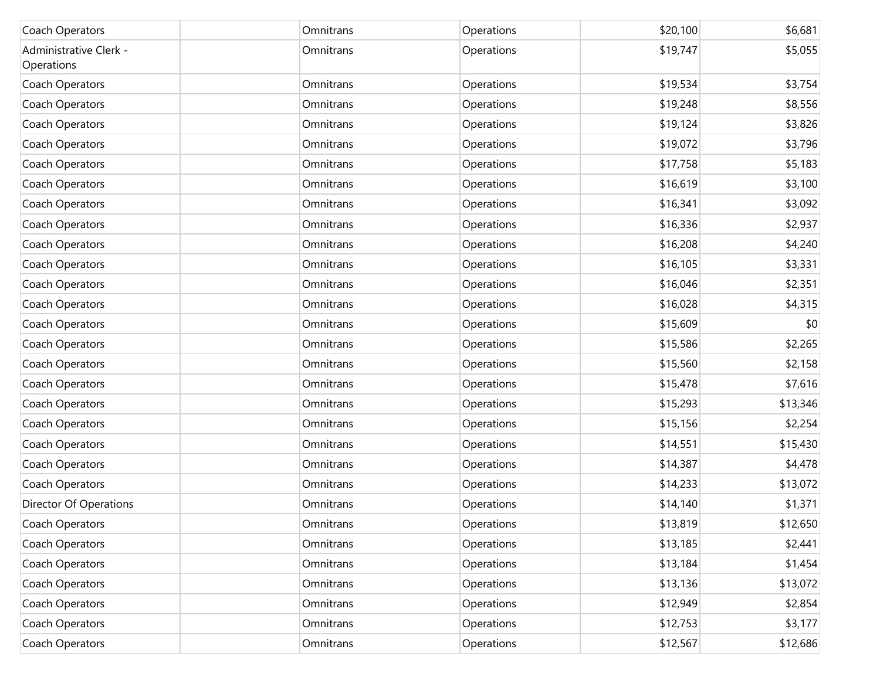| Coach Operators                      | Omnitrans | Operations | \$20,100 | \$6,681  |
|--------------------------------------|-----------|------------|----------|----------|
| Administrative Clerk -<br>Operations | Omnitrans | Operations | \$19,747 | \$5,055  |
| Coach Operators                      | Omnitrans | Operations | \$19,534 | \$3,754  |
| Coach Operators                      | Omnitrans | Operations | \$19,248 | \$8,556  |
| Coach Operators                      | Omnitrans | Operations | \$19,124 | \$3,826  |
| Coach Operators                      | Omnitrans | Operations | \$19,072 | \$3,796  |
| Coach Operators                      | Omnitrans | Operations | \$17,758 | \$5,183  |
| Coach Operators                      | Omnitrans | Operations | \$16,619 | \$3,100  |
| Coach Operators                      | Omnitrans | Operations | \$16,341 | \$3,092  |
| Coach Operators                      | Omnitrans | Operations | \$16,336 | \$2,937  |
| Coach Operators                      | Omnitrans | Operations | \$16,208 | \$4,240  |
| Coach Operators                      | Omnitrans | Operations | \$16,105 | \$3,331  |
| Coach Operators                      | Omnitrans | Operations | \$16,046 | \$2,351  |
| Coach Operators                      | Omnitrans | Operations | \$16,028 | \$4,315  |
| Coach Operators                      | Omnitrans | Operations | \$15,609 | \$0      |
| Coach Operators                      | Omnitrans | Operations | \$15,586 | \$2,265  |
| Coach Operators                      | Omnitrans | Operations | \$15,560 | \$2,158  |
| Coach Operators                      | Omnitrans | Operations | \$15,478 | \$7,616  |
| Coach Operators                      | Omnitrans | Operations | \$15,293 | \$13,346 |
| Coach Operators                      | Omnitrans | Operations | \$15,156 | \$2,254  |
| Coach Operators                      | Omnitrans | Operations | \$14,551 | \$15,430 |
| Coach Operators                      | Omnitrans | Operations | \$14,387 | \$4,478  |
| Coach Operators                      | Omnitrans | Operations | \$14,233 | \$13,072 |
| <b>Director Of Operations</b>        | Omnitrans | Operations | \$14,140 | \$1,371  |
| Coach Operators                      | Omnitrans | Operations | \$13,819 | \$12,650 |
| Coach Operators                      | Omnitrans | Operations | \$13,185 | \$2,441  |
| Coach Operators                      | Omnitrans | Operations | \$13,184 | \$1,454  |
| Coach Operators                      | Omnitrans | Operations | \$13,136 | \$13,072 |
| Coach Operators                      | Omnitrans | Operations | \$12,949 | \$2,854  |
| Coach Operators                      | Omnitrans | Operations | \$12,753 | \$3,177  |
| Coach Operators                      | Omnitrans | Operations | \$12,567 | \$12,686 |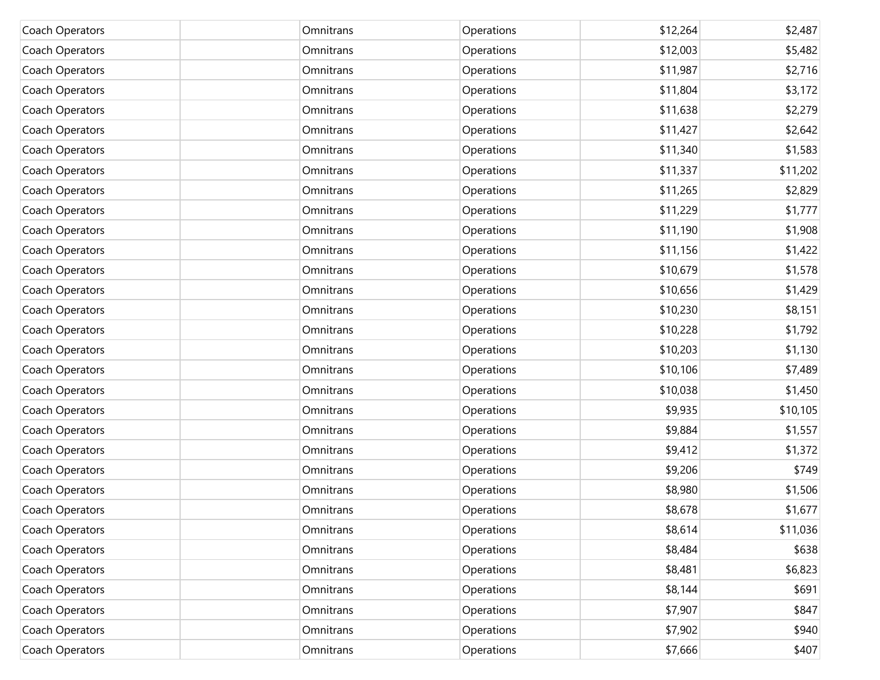| Coach Operators | Omnitrans | Operations | \$12,264 | \$2,487  |
|-----------------|-----------|------------|----------|----------|
| Coach Operators | Omnitrans | Operations | \$12,003 | \$5,482  |
| Coach Operators | Omnitrans | Operations | \$11,987 | \$2,716  |
| Coach Operators | Omnitrans | Operations | \$11,804 | \$3,172  |
| Coach Operators | Omnitrans | Operations | \$11,638 | \$2,279  |
| Coach Operators | Omnitrans | Operations | \$11,427 | \$2,642  |
| Coach Operators | Omnitrans | Operations | \$11,340 | \$1,583  |
| Coach Operators | Omnitrans | Operations | \$11,337 | \$11,202 |
| Coach Operators | Omnitrans | Operations | \$11,265 | \$2,829  |
| Coach Operators | Omnitrans | Operations | \$11,229 | \$1,777  |
| Coach Operators | Omnitrans | Operations | \$11,190 | \$1,908  |
| Coach Operators | Omnitrans | Operations | \$11,156 | \$1,422  |
| Coach Operators | Omnitrans | Operations | \$10,679 | \$1,578  |
| Coach Operators | Omnitrans | Operations | \$10,656 | \$1,429  |
| Coach Operators | Omnitrans | Operations | \$10,230 | \$8,151  |
| Coach Operators | Omnitrans | Operations | \$10,228 | \$1,792  |
| Coach Operators | Omnitrans | Operations | \$10,203 | \$1,130  |
| Coach Operators | Omnitrans | Operations | \$10,106 | \$7,489  |
| Coach Operators | Omnitrans | Operations | \$10,038 | \$1,450  |
| Coach Operators | Omnitrans | Operations | \$9,935  | \$10,105 |
| Coach Operators | Omnitrans | Operations | \$9,884  | \$1,557  |
| Coach Operators | Omnitrans | Operations | \$9,412  | \$1,372  |
| Coach Operators | Omnitrans | Operations | \$9,206  | \$749    |
| Coach Operators | Omnitrans | Operations | \$8,980  | \$1,506  |
| Coach Operators | Omnitrans | Operations | \$8,678  | \$1,677  |
| Coach Operators | Omnitrans | Operations | \$8,614  | \$11,036 |
| Coach Operators | Omnitrans | Operations | \$8,484  | \$638    |
| Coach Operators | Omnitrans | Operations | \$8,481  | \$6,823  |
| Coach Operators | Omnitrans | Operations | \$8,144  | \$691    |
| Coach Operators | Omnitrans | Operations | \$7,907  | \$847    |
| Coach Operators | Omnitrans | Operations | \$7,902  | \$940    |
| Coach Operators | Omnitrans | Operations | \$7,666  | \$407    |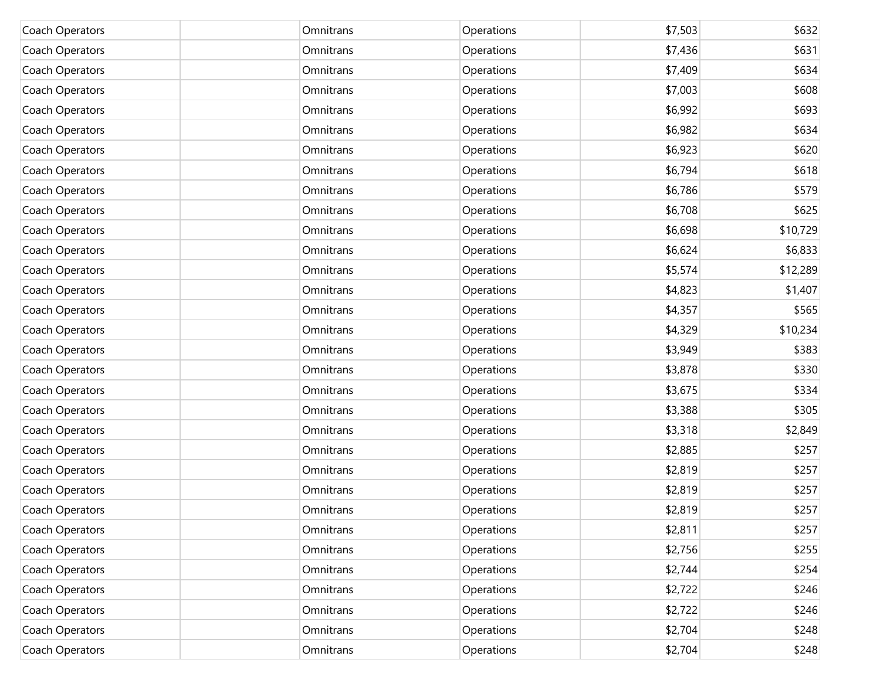| Coach Operators | Omnitrans | Operations | \$7,503 | \$632    |
|-----------------|-----------|------------|---------|----------|
| Coach Operators | Omnitrans | Operations | \$7,436 | \$631    |
| Coach Operators | Omnitrans | Operations | \$7,409 | \$634    |
| Coach Operators | Omnitrans | Operations | \$7,003 | \$608    |
| Coach Operators | Omnitrans | Operations | \$6,992 | \$693    |
| Coach Operators | Omnitrans | Operations | \$6,982 | \$634    |
| Coach Operators | Omnitrans | Operations | \$6,923 | \$620    |
| Coach Operators | Omnitrans | Operations | \$6,794 | \$618    |
| Coach Operators | Omnitrans | Operations | \$6,786 | \$579    |
| Coach Operators | Omnitrans | Operations | \$6,708 | \$625    |
| Coach Operators | Omnitrans | Operations | \$6,698 | \$10,729 |
| Coach Operators | Omnitrans | Operations | \$6,624 | \$6,833  |
| Coach Operators | Omnitrans | Operations | \$5,574 | \$12,289 |
| Coach Operators | Omnitrans | Operations | \$4,823 | \$1,407  |
| Coach Operators | Omnitrans | Operations | \$4,357 | \$565    |
| Coach Operators | Omnitrans | Operations | \$4,329 | \$10,234 |
| Coach Operators | Omnitrans | Operations | \$3,949 | \$383    |
| Coach Operators | Omnitrans | Operations | \$3,878 | \$330    |
| Coach Operators | Omnitrans | Operations | \$3,675 | \$334    |
| Coach Operators | Omnitrans | Operations | \$3,388 | \$305    |
| Coach Operators | Omnitrans | Operations | \$3,318 | \$2,849  |
| Coach Operators | Omnitrans | Operations | \$2,885 | \$257    |
| Coach Operators | Omnitrans | Operations | \$2,819 | \$257    |
| Coach Operators | Omnitrans | Operations | \$2,819 | \$257    |
| Coach Operators | Omnitrans | Operations | \$2,819 | \$257    |
| Coach Operators | Omnitrans | Operations | \$2,811 | \$257    |
| Coach Operators | Omnitrans | Operations | \$2,756 | \$255    |
| Coach Operators | Omnitrans | Operations | \$2,744 | \$254    |
| Coach Operators | Omnitrans | Operations | \$2,722 | \$246    |
| Coach Operators | Omnitrans | Operations | \$2,722 | \$246    |
| Coach Operators | Omnitrans | Operations | \$2,704 | \$248    |
| Coach Operators | Omnitrans | Operations | \$2,704 | \$248    |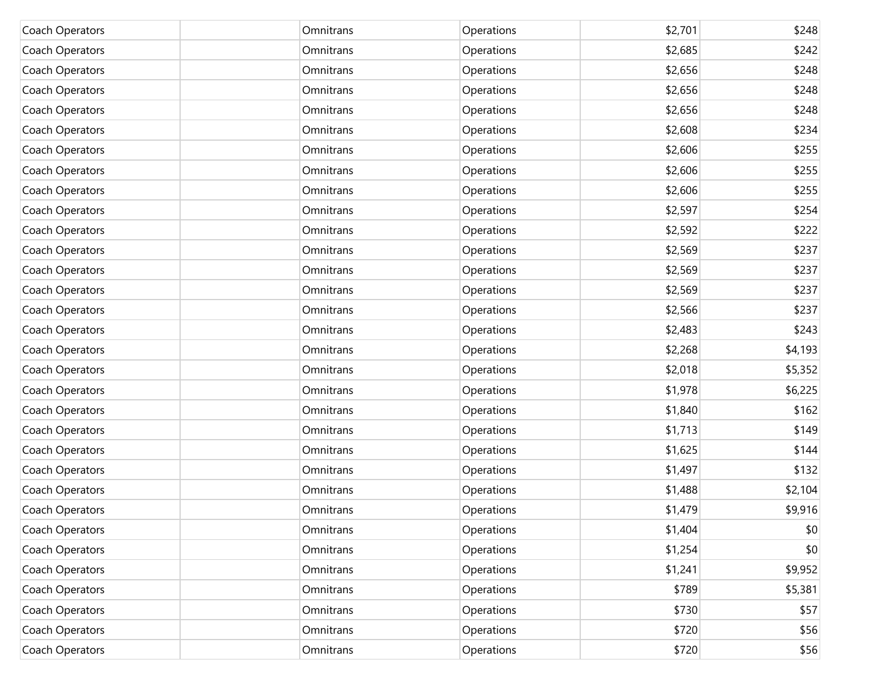| Coach Operators | Omnitrans | Operations | \$2,701 | \$248   |
|-----------------|-----------|------------|---------|---------|
| Coach Operators | Omnitrans | Operations | \$2,685 | \$242   |
| Coach Operators | Omnitrans | Operations | \$2,656 | \$248   |
| Coach Operators | Omnitrans | Operations | \$2,656 | \$248   |
| Coach Operators | Omnitrans | Operations | \$2,656 | \$248   |
| Coach Operators | Omnitrans | Operations | \$2,608 | \$234   |
| Coach Operators | Omnitrans | Operations | \$2,606 | \$255   |
| Coach Operators | Omnitrans | Operations | \$2,606 | \$255   |
| Coach Operators | Omnitrans | Operations | \$2,606 | \$255   |
| Coach Operators | Omnitrans | Operations | \$2,597 | \$254   |
| Coach Operators | Omnitrans | Operations | \$2,592 | \$222   |
| Coach Operators | Omnitrans | Operations | \$2,569 | \$237   |
| Coach Operators | Omnitrans | Operations | \$2,569 | \$237   |
| Coach Operators | Omnitrans | Operations | \$2,569 | \$237   |
| Coach Operators | Omnitrans | Operations | \$2,566 | \$237   |
| Coach Operators | Omnitrans | Operations | \$2,483 | \$243   |
| Coach Operators | Omnitrans | Operations | \$2,268 | \$4,193 |
| Coach Operators | Omnitrans | Operations | \$2,018 | \$5,352 |
| Coach Operators | Omnitrans | Operations | \$1,978 | \$6,225 |
| Coach Operators | Omnitrans | Operations | \$1,840 | \$162   |
| Coach Operators | Omnitrans | Operations | \$1,713 | \$149   |
| Coach Operators | Omnitrans | Operations | \$1,625 | \$144   |
| Coach Operators | Omnitrans | Operations | \$1,497 | \$132   |
| Coach Operators | Omnitrans | Operations | \$1,488 | \$2,104 |
| Coach Operators | Omnitrans | Operations | \$1,479 | \$9,916 |
| Coach Operators | Omnitrans | Operations | \$1,404 | \$0     |
| Coach Operators | Omnitrans | Operations | \$1,254 | \$0     |
| Coach Operators | Omnitrans | Operations | \$1,241 | \$9,952 |
| Coach Operators | Omnitrans | Operations | \$789   | \$5,381 |
| Coach Operators | Omnitrans | Operations | \$730   | \$57    |
| Coach Operators | Omnitrans | Operations | \$720   | \$56    |
| Coach Operators | Omnitrans | Operations | \$720   | \$56    |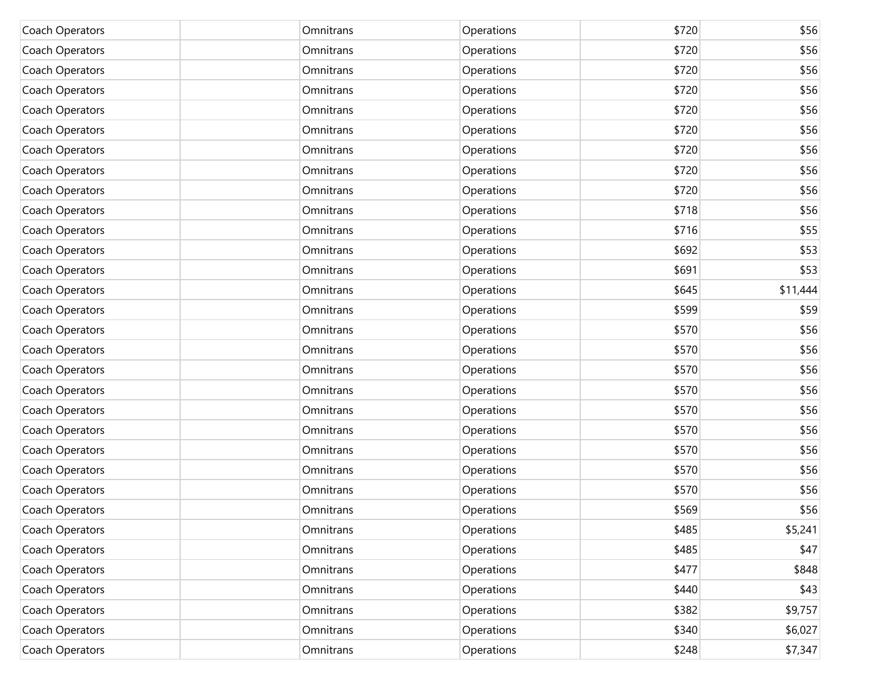| Coach Operators | Omnitrans | Operations | \$720 | \$56     |
|-----------------|-----------|------------|-------|----------|
| Coach Operators | Omnitrans | Operations | \$720 | \$56     |
| Coach Operators | Omnitrans | Operations | \$720 | \$56     |
| Coach Operators | Omnitrans | Operations | \$720 | \$56     |
| Coach Operators | Omnitrans | Operations | \$720 | \$56     |
| Coach Operators | Omnitrans | Operations | \$720 | \$56     |
| Coach Operators | Omnitrans | Operations | \$720 | \$56     |
| Coach Operators | Omnitrans | Operations | \$720 | \$56     |
| Coach Operators | Omnitrans | Operations | \$720 | \$56     |
| Coach Operators | Omnitrans | Operations | \$718 | \$56     |
| Coach Operators | Omnitrans | Operations | \$716 | \$55     |
| Coach Operators | Omnitrans | Operations | \$692 | \$53     |
| Coach Operators | Omnitrans | Operations | \$691 | \$53     |
| Coach Operators | Omnitrans | Operations | \$645 | \$11,444 |
| Coach Operators | Omnitrans | Operations | \$599 | \$59     |
| Coach Operators | Omnitrans | Operations | \$570 | \$56     |
| Coach Operators | Omnitrans | Operations | \$570 | \$56     |
| Coach Operators | Omnitrans | Operations | \$570 | \$56     |
| Coach Operators | Omnitrans | Operations | \$570 | \$56     |
| Coach Operators | Omnitrans | Operations | \$570 | \$56     |
| Coach Operators | Omnitrans | Operations | \$570 | \$56     |
| Coach Operators | Omnitrans | Operations | \$570 | \$56     |
| Coach Operators | Omnitrans | Operations | \$570 | \$56     |
| Coach Operators | Omnitrans | Operations | \$570 | \$56     |
| Coach Operators | Omnitrans | Operations | \$569 | \$56     |
| Coach Operators | Omnitrans | Operations | \$485 | \$5,241  |
| Coach Operators | Omnitrans | Operations | \$485 | \$47     |
| Coach Operators | Omnitrans | Operations | \$477 | \$848    |
| Coach Operators | Omnitrans | Operations | \$440 | \$43     |
| Coach Operators | Omnitrans | Operations | \$382 | \$9,757  |
| Coach Operators | Omnitrans | Operations | \$340 | \$6,027  |
| Coach Operators | Omnitrans | Operations | \$248 | \$7,347  |